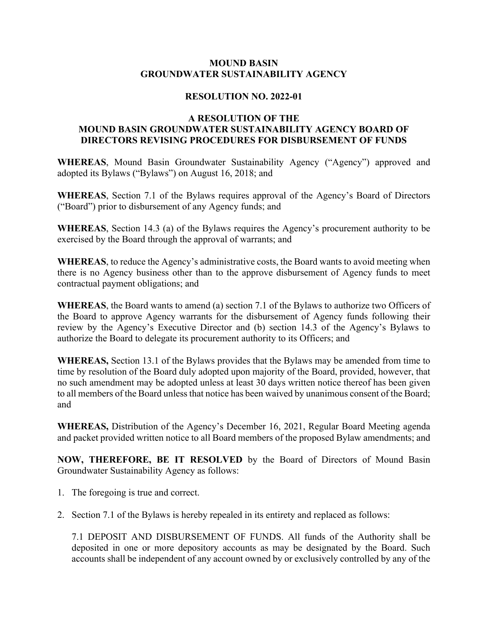## **MOUND BASIN GROUNDWATER SUSTAINABILITY AGENCY**

## **RESOLUTION NO. 2022-01**

## **A RESOLUTION OF THE MOUND BASIN GROUNDWATER SUSTAINABILITY AGENCY BOARD OF DIRECTORS REVISING PROCEDURES FOR DISBURSEMENT OF FUNDS**

**WHEREAS**, Mound Basin Groundwater Sustainability Agency ("Agency") approved and adopted its Bylaws ("Bylaws") on August 16, 2018; and

**WHEREAS**, Section 7.1 of the Bylaws requires approval of the Agency's Board of Directors ("Board") prior to disbursement of any Agency funds; and

**WHEREAS**, Section 14.3 (a) of the Bylaws requires the Agency's procurement authority to be exercised by the Board through the approval of warrants; and

**WHEREAS**, to reduce the Agency's administrative costs, the Board wants to avoid meeting when there is no Agency business other than to the approve disbursement of Agency funds to meet contractual payment obligations; and

**WHEREAS**, the Board wants to amend (a) section 7.1 of the Bylaws to authorize two Officers of the Board to approve Agency warrants for the disbursement of Agency funds following their review by the Agency's Executive Director and (b) section 14.3 of the Agency's Bylaws to authorize the Board to delegate its procurement authority to its Officers; and

**WHEREAS,** Section 13.1 of the Bylaws provides that the Bylaws may be amended from time to time by resolution of the Board duly adopted upon majority of the Board, provided, however, that no such amendment may be adopted unless at least 30 days written notice thereof has been given to all members of the Board unless that notice has been waived by unanimous consent of the Board; and

**WHEREAS,** Distribution of the Agency's December 16, 2021, Regular Board Meeting agenda and packet provided written notice to all Board members of the proposed Bylaw amendments; and

**NOW, THEREFORE, BE IT RESOLVED** by the Board of Directors of Mound Basin Groundwater Sustainability Agency as follows:

- 1. The foregoing is true and correct.
- 2. Section 7.1 of the Bylaws is hereby repealed in its entirety and replaced as follows:

7.1 DEPOSIT AND DISBURSEMENT OF FUNDS. All funds of the Authority shall be deposited in one or more depository accounts as may be designated by the Board. Such accounts shall be independent of any account owned by or exclusively controlled by any of the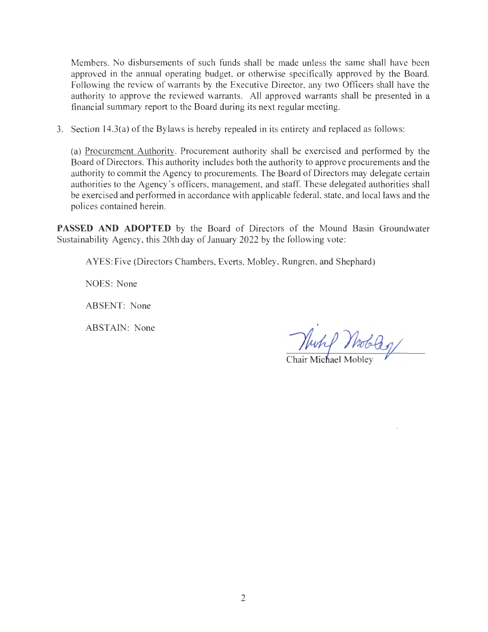Members. No disbursements of such funds shall be made unless the same shall have been approved in the annual operating budget, or otherwise specifically approved by the Board. Following the review of warrants by the Executive Director, any two Officers shall have the authority to approve the reviewed warrants. All approved warrants shall be presented in a financial summary report to the Board during its next regular meeting.

3. Section 14.3(a) of the Bylaws is hereby repealed in its entirety and replaced as follows:

(a) Procurement Authority. Procurement authority shall be exercised and performed by the Board of Directors. This authority includes both the authority to approve procurements and the authority to commit the Agency to procurements. The Board of Directors may delegate certain authorities to the Agency 's officers, management, and staff. These delegated authorities shall be exercised and performed in accordance with applicable federal, state, and local laws and the polices contained herein.

**PASSED AND ADOPTED** by the Board of Directors of the Mound Basin Groundwater Sustainability Agency, this 20th day of January 2022 by the following vote:

A YES: Five (Directors Chambers, Everts, Mobley, Rungren, and Shephard)

NOES: None

ABSENT: None

ABSTAIN: None

Nutif Wobbs/